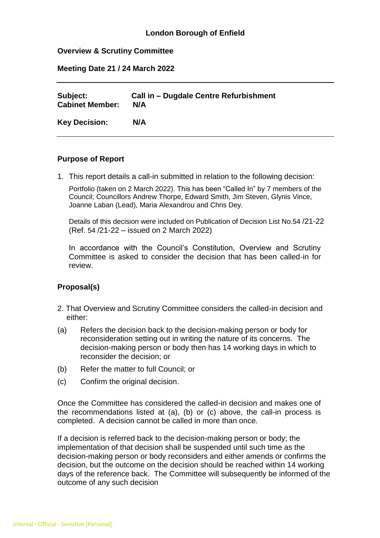# **London Borough of Enfield**

### **Overview & Scrutiny Committee**

**Meeting Date 21 / 24 March 2022**

| Subject:               | Call in – Dugdale Centre Refurbishment |
|------------------------|----------------------------------------|
| <b>Cabinet Member:</b> | N/A                                    |
| <b>Key Decision:</b>   | N/A                                    |

### **Purpose of Report**

1. This report details a call-in submitted in relation to the following decision:

Portfolio (taken on 2 March 2022). This has been "Called In" by 7 members of the Council; Councillors Andrew Thorpe, Edward Smith, Jim Steven, Glynis Vince, Joanne Laban (Lead), Maria Alexandrou and Chris Dey.

Details of this decision were included on Publication of Decision List No.54 /21-22 (Ref. 54 /21-22 – issued on 2 March 2022)

In accordance with the Council's Constitution, Overview and Scrutiny Committee is asked to consider the decision that has been called-in for review.

# **Proposal(s)**

- 2. That Overview and Scrutiny Committee considers the called-in decision and either:
- (a) Refers the decision back to the decision-making person or body for reconsideration setting out in writing the nature of its concerns. The decision-making person or body then has 14 working days in which to reconsider the decision; or
- (b) Refer the matter to full Council; or
- (c) Confirm the original decision.

Once the Committee has considered the called-in decision and makes one of the recommendations listed at (a), (b) or (c) above, the call-in process is completed. A decision cannot be called in more than once.

If a decision is referred back to the decision-making person or body; the implementation of that decision shall be suspended until such time as the decision-making person or body reconsiders and either amends or confirms the decision, but the outcome on the decision should be reached within 14 working days of the reference back. The Committee will subsequently be informed of the outcome of any such decision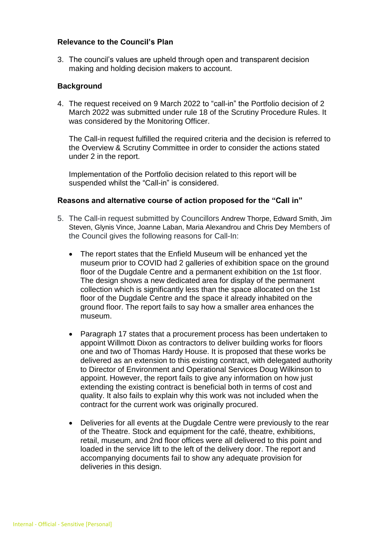### **Relevance to the Council's Plan**

3. The council's values are upheld through open and transparent decision making and holding decision makers to account.

### **Background**

4. The request received on 9 March 2022 to "call-in" the Portfolio decision of 2 March 2022 was submitted under rule 18 of the Scrutiny Procedure Rules. It was considered by the Monitoring Officer.

The Call-in request fulfilled the required criteria and the decision is referred to the Overview & Scrutiny Committee in order to consider the actions stated under 2 in the report.

Implementation of the Portfolio decision related to this report will be suspended whilst the "Call-in" is considered.

#### **Reasons and alternative course of action proposed for the "Call in"**

- 5. The Call-in request submitted by Councillors Andrew Thorpe, Edward Smith, Jim Steven, Glynis Vince, Joanne Laban, Maria Alexandrou and Chris Dey Members of the Council gives the following reasons for Call-In:
	- The report states that the Enfield Museum will be enhanced yet the museum prior to COVID had 2 galleries of exhibition space on the ground floor of the Dugdale Centre and a permanent exhibition on the 1st floor. The design shows a new dedicated area for display of the permanent collection which is significantly less than the space allocated on the 1st floor of the Dugdale Centre and the space it already inhabited on the ground floor. The report fails to say how a smaller area enhances the museum.
	- Paragraph 17 states that a procurement process has been undertaken to appoint Willmott Dixon as contractors to deliver building works for floors one and two of Thomas Hardy House. It is proposed that these works be delivered as an extension to this existing contract, with delegated authority to Director of Environment and Operational Services Doug Wilkinson to appoint. However, the report fails to give any information on how just extending the existing contract is beneficial both in terms of cost and quality. It also fails to explain why this work was not included when the contract for the current work was originally procured.
	- Deliveries for all events at the Dugdale Centre were previously to the rear of the Theatre. Stock and equipment for the café, theatre, exhibitions, retail, museum, and 2nd floor offices were all delivered to this point and loaded in the service lift to the left of the delivery door. The report and accompanying documents fail to show any adequate provision for deliveries in this design.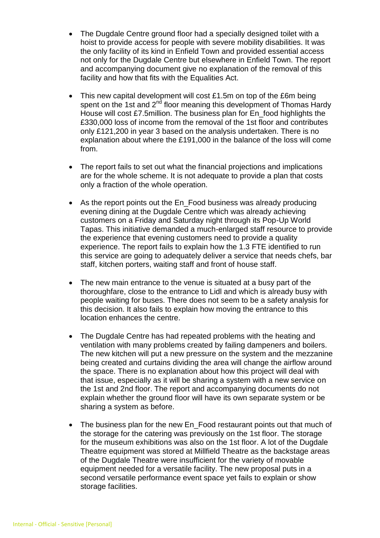- The Dugdale Centre ground floor had a specially designed toilet with a hoist to provide access for people with severe mobility disabilities. It was the only facility of its kind in Enfield Town and provided essential access not only for the Dugdale Centre but elsewhere in Enfield Town. The report and accompanying document give no explanation of the removal of this facility and how that fits with the Equalities Act.
- This new capital development will cost £1.5m on top of the £6m being spent on the 1st and  $2^{nd}$  floor meaning this development of Thomas Hardy House will cost £7.5million. The business plan for En\_food highlights the £330,000 loss of income from the removal of the 1st floor and contributes only £121,200 in year 3 based on the analysis undertaken. There is no explanation about where the £191,000 in the balance of the loss will come from.
- The report fails to set out what the financial projections and implications are for the whole scheme. It is not adequate to provide a plan that costs only a fraction of the whole operation.
- As the report points out the En\_Food business was already producing evening dining at the Dugdale Centre which was already achieving customers on a Friday and Saturday night through its Pop-Up World Tapas. This initiative demanded a much-enlarged staff resource to provide the experience that evening customers need to provide a quality experience. The report fails to explain how the 1.3 FTE identified to run this service are going to adequately deliver a service that needs chefs, bar staff, kitchen porters, waiting staff and front of house staff.
- The new main entrance to the venue is situated at a busy part of the thoroughfare, close to the entrance to Lidl and which is already busy with people waiting for buses. There does not seem to be a safety analysis for this decision. It also fails to explain how moving the entrance to this location enhances the centre.
- The Dugdale Centre has had repeated problems with the heating and ventilation with many problems created by failing dampeners and boilers. The new kitchen will put a new pressure on the system and the mezzanine being created and curtains dividing the area will change the airflow around the space. There is no explanation about how this project will deal with that issue, especially as it will be sharing a system with a new service on the 1st and 2nd floor. The report and accompanying documents do not explain whether the ground floor will have its own separate system or be sharing a system as before.
- The business plan for the new En\_Food restaurant points out that much of the storage for the catering was previously on the 1st floor. The storage for the museum exhibitions was also on the 1st floor. A lot of the Dugdale Theatre equipment was stored at Millfield Theatre as the backstage areas of the Dugdale Theatre were insufficient for the variety of movable equipment needed for a versatile facility. The new proposal puts in a second versatile performance event space yet fails to explain or show storage facilities.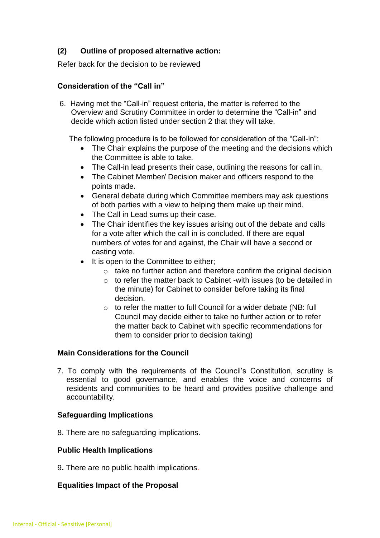# **(2) Outline of proposed alternative action:**

Refer back for the decision to be reviewed

# **Consideration of the "Call in"**

6. Having met the "Call-in" request criteria, the matter is referred to the Overview and Scrutiny Committee in order to determine the "Call-in" and decide which action listed under section 2 that they will take.

The following procedure is to be followed for consideration of the "Call-in":

- The Chair explains the purpose of the meeting and the decisions which the Committee is able to take.
- The Call-in lead presents their case, outlining the reasons for call in.
- The Cabinet Member/ Decision maker and officers respond to the points made.
- General debate during which Committee members may ask questions of both parties with a view to helping them make up their mind.
- The Call in Lead sums up their case.
- The Chair identifies the key issues arising out of the debate and calls for a vote after which the call in is concluded. If there are equal numbers of votes for and against, the Chair will have a second or casting vote.
- It is open to the Committee to either;
	- o take no further action and therefore confirm the original decision
	- o to refer the matter back to Cabinet -with issues (to be detailed in the minute) for Cabinet to consider before taking its final decision.
	- $\circ$  to refer the matter to full Council for a wider debate (NB: full Council may decide either to take no further action or to refer the matter back to Cabinet with specific recommendations for them to consider prior to decision taking)

# **Main Considerations for the Council**

 7. To comply with the requirements of the Council's Constitution, scrutiny is essential to good governance, and enables the voice and concerns of residents and communities to be heard and provides positive challenge and accountability.

# **Safeguarding Implications**

8. There are no safeguarding implications.

# **Public Health Implications**

9**.** There are no public health implications.

# **Equalities Impact of the Proposal**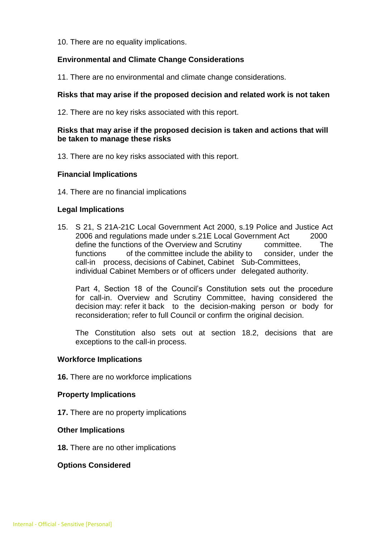10. There are no equality implications.

# **Environmental and Climate Change Considerations**

11. There are no environmental and climate change considerations.

# **Risks that may arise if the proposed decision and related work is not taken**

12. There are no key risks associated with this report.

# **Risks that may arise if the proposed decision is taken and actions that will be taken to manage these risks**

13. There are no key risks associated with this report.

### **Financial Implications**

14. There are no financial implications

### **Legal Implications**

15. S 21, S 21A-21C Local Government Act 2000, s.19 Police and Justice Act 2006 and regulations made under s.21E Local Government Act 2000 define the functions of the Overview and Scrutiny committee. The functions of the committee include the ability to consider, under the call-in process, decisions of Cabinet, Cabinet Sub-Committees, individual Cabinet Members or of officers under delegated authority.

Part 4, Section 18 of the Council's Constitution sets out the procedure for call-in. Overview and Scrutiny Committee, having considered the decision may: refer it back to the decision-making person or body for reconsideration; refer to full Council or confirm the original decision.

The Constitution also sets out at section 18.2, decisions that are exceptions to the call-in process.

#### **Workforce Implications**

**16.** There are no workforce implications

#### **Property Implications**

**17.** There are no property implications

#### **Other Implications**

**18.** There are no other implications

#### **Options Considered**